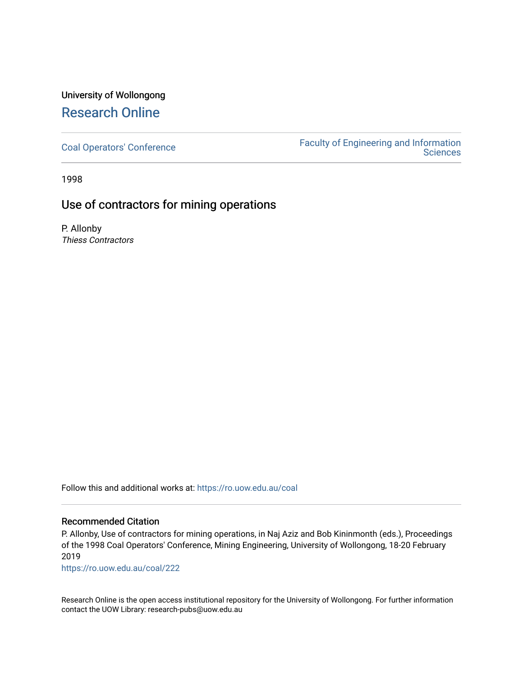## University of Wollongong [Research Online](https://ro.uow.edu.au/)

[Coal Operators' Conference](https://ro.uow.edu.au/coal) [Faculty of Engineering and Information](https://ro.uow.edu.au/eis)  **Sciences** 

1998

## Use of contractors for mining operations

P. Allonby Thiess Contractors

Follow this and additional works at: [https://ro.uow.edu.au/coal](https://ro.uow.edu.au/coal?utm_source=ro.uow.edu.au%2Fcoal%2F222&utm_medium=PDF&utm_campaign=PDFCoverPages) 

### Recommended Citation

P. Allonby, Use of contractors for mining operations, in Naj Aziz and Bob Kininmonth (eds.), Proceedings of the 1998 Coal Operators' Conference, Mining Engineering, University of Wollongong, 18-20 February 2019

[https://ro.uow.edu.au/coal/222](https://ro.uow.edu.au/coal/222?utm_source=ro.uow.edu.au%2Fcoal%2F222&utm_medium=PDF&utm_campaign=PDFCoverPages) 

Research Online is the open access institutional repository for the University of Wollongong. For further information contact the UOW Library: research-pubs@uow.edu.au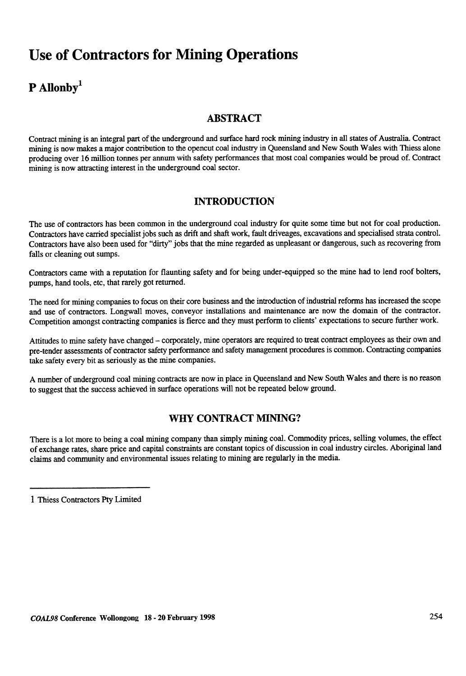# **Use of Contractors for Mining Operations**

# $P$  Allonby<sup>1</sup>

## ABSTRACT

Contract mining is an integral part of the underground and surface hard rock mining industry in all states of Australia. Contract mining is now makes a major contribution to the opencut coal industry in Queensland and New South Wales with Thiess alone producing over 16 million tonnes per annum with safety performances that most coal companies would be proud of. Contract mining is now attracting interest in the underground coal sector .

## INTRODUCTION

The use of contractors has been common in the underground coal industry for quite some time but not for coal production. Contractors have carried specialist jobs such as drift and shaft work, fault driveages, excavations and specialised strata control. Contractors have also been used for "dirty" jobs that the mine regarded as unpleasant or dangerous, such as recovering from falls or cleaning out sumps.

Contractors came with a reputation for flaunting safety and for being under-equipped so the mine had to lend roof bolters, pumps, hand tools, etc, that rarely got returned.

The need for mining companies to focus on their core business and the introduction of industrial refonns has increased the scope and use of contractors. Longwall moves, conveyor installations and maintenance are now the domain of the contractor. Competition amongst contracting companies is fierce and they must perform to clients' expectations to secure further work.

Attitudes to mine safety have changed – corporately, mine operators are required to treat contract employees as their own and pre-tender assessments of contractor safety performance and safety management procedures is common. Contracting companies take safety every bit as seriously as the mine companies.

A number of underground coal mining contracts are now in place in Queensland and New South Wales and there is no reason to suggest that the success achieved in surface operations will not be repeated below ground.

## WHY CONTRACT MINING?

There is a lot more to being a coal mining company than simply mining coal. Commodity prices, selling volumes, the effect of exchange rates, share price and capital constraints are constant topics of discussion in coal industry circles. Aboriginal land claims and community and environmental issues relating to mining are regularly in the media.

1 Thiess Contractors Pty Limited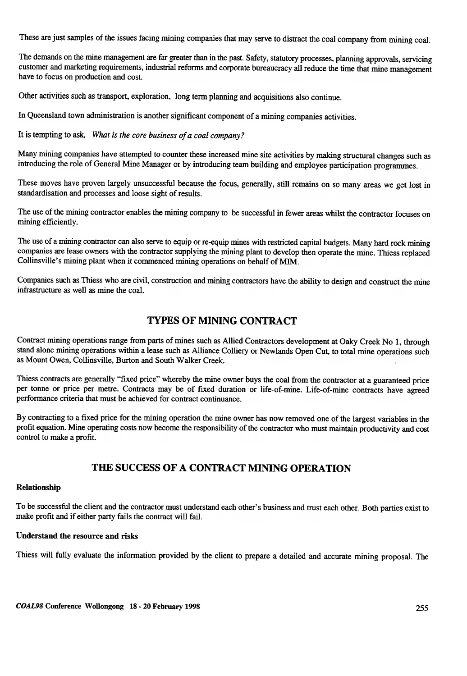These are just samples of the issues facing mining companies that may serve to distract the coal company from mining coal.

The demands on the mine management are far greater than in the past. Safety, statutory processes, planning approvals, servicing customer and marketing requirements, industrial reforms and corporate bureaucracy all reduce the time that mine management have to focus on production and cost.

Other activities such as transport, exploration, long term planning and acquisitions also continue.

In Queensland town administration is another significant component of a mining companies activities.

It is tempting to ask, What is the core business of a coal company?'

Many mining companies have attempted to counter these increased mine site activities by making structural changes such as introducing the role of General Mine Manager or by introducing team building and employee participation programmes.

These moves have proven largely unsuccessful because the focus, generally, still remains on so many areas we get lost in standardisation and processes and loose sight of results.

The use of the mining contractor enables the mining company to be successful in fewer areas whilst the contractor focuses on mining efficiently.

The use of a mining contractor can also serve to equip or re-equip mines with restricted capital budgets. Many hard rock mining companies are lease owners with the contractor supplying the mining plant to develop then operate the mine. Thiess replaced Collinsville's mining plant when it commenced mining operations on behalf of MIM.

Companies such as Thiess who are civil, construction and mining contractors have the ability to design and construct the mine infrastructure as well as mine the coal.

## TYPES OF MINING CONTRACT

Contract mining operations range from parts of mines such as Allied Contractors development at Oaky Creek No 1, through stand alone mining operations within a lease such as Alliance Colliery or Newlands Open Cut, to total mine operations such as Mount Owen, Collinsville, Burton and South Walker Creek.

Thiess contracts are generally "fixed price" whereby the mine owner buys the coal from the contractor at a guaranteed price per tonne or price per metre. Contracts may be of fixed duration or life-of-mine. Life-of-mine contracts have agreed performance criteria that must be achieved for contract continuance.

By contracting to a fixed price for the mining operation the mine owner has now removed one of the largest variables in the profit equation. Mine operating costs now become the responsibility of the contractor who must maintain productivity and cost control to make a profit.

## THE SUCCESS OF A CONTRACT MINING OPERATION

#### Relationship

To be successful the client and the contractor must understand each other's business and trust each other. Both parties exist to make profit and if either party fails the contract will fail.

#### Understand the resource and risks

Thiess will fully evaluate the information provided by the client to prepare a detailed and accurate mining proposal. The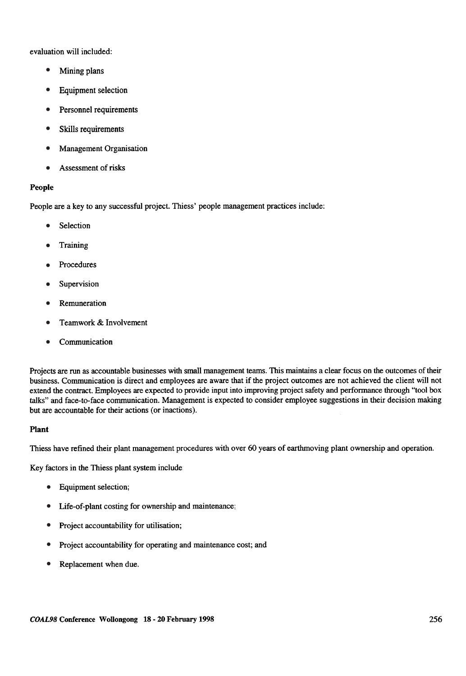evaluation will included:

- Mining plans •
- Equipment selection •
- Personnel requirements •
- Skills requirements •
- Management Organisation •
- Assessment of risks •

#### People

People are a key to any successful project. Thiess' people management practices include:

- Selection •
- **Training** •
- Procedures •
- Supervision •
- Remuneration •
- Teamwork & Involvement •
- Communication •

Projects are run as accountable businesses with small management teams. This maintains a clear focus on the outcomes of their business. Communication is direct and employees are aware that if the project outcomes are not achieved the client will not extend the contract. Employees are expected to provide input into improving project safety and performance through "tool box talks" and face-to-face communication. Management is expected to consider employee suggestions in their decision making but are accountable for their actions (or inactions).

#### Plant

Thiess have refined their plant management procedures with over 60 years of earthmoving plant ownership and operation.

Key factors in the Thiess plant system include

- Equipment selection; •
- Life-of-plant costing for ownership and maintenance; •
- Project accountability for utilisation; •
- Project accountability for operating and maintenance cost; and •
- Replacement when due. •